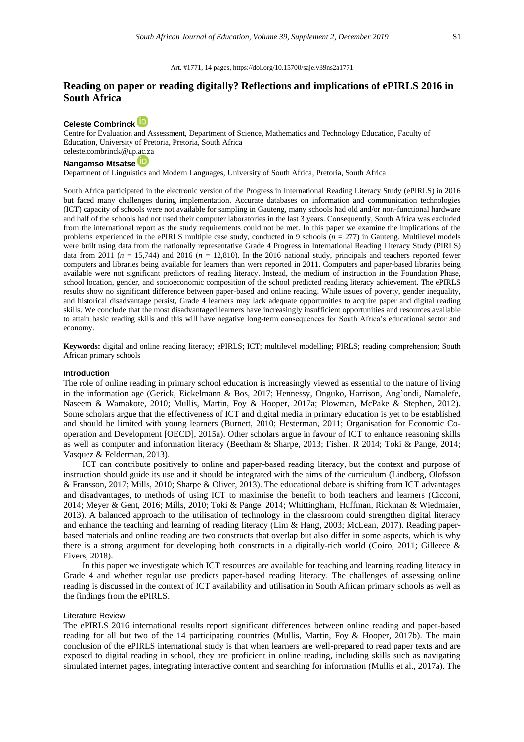# **Reading on paper or reading digitally? Reflections and implications of ePIRLS 2016 in South Africa**

# **[Celeste Combrinck](https://orcid.org/0000-0002-8067-5299)**

Centre for Evaluation and Assessment, Department of Science, Mathematics and Technology Education, Faculty of Education, University of Pretoria, Pretoria, South Africa [celeste.combrinck@up.ac.za](mailto:celeste.combrinck@up.ac.za)

# **[Nangamso Mtsatse](https://orcid.org/0000-0002-3432-3567)**

Department of Linguistics and Modern Languages, University of South Africa, Pretoria, South Africa

South Africa participated in the electronic version of the Progress in International Reading Literacy Study (ePIRLS) in 2016 but faced many challenges during implementation. Accurate databases on information and communication technologies (ICT) capacity of schools were not available for sampling in Gauteng, many schools had old and/or non-functional hardware and half of the schools had not used their computer laboratories in the last 3 years. Consequently, South Africa was excluded from the international report as the study requirements could not be met. In this paper we examine the implications of the problems experienced in the ePIRLS multiple case study, conducted in 9 schools (*n* = 277) in Gauteng. Multilevel models were built using data from the nationally representative Grade 4 Progress in International Reading Literacy Study (PIRLS) data from 2011 ( $n = 15,744$ ) and 2016 ( $n = 12,810$ ). In the 2016 national study, principals and teachers reported fewer computers and libraries being available for learners than were reported in 2011. Computers and paper-based libraries being available were not significant predictors of reading literacy. Instead, the medium of instruction in the Foundation Phase, school location, gender, and socioeconomic composition of the school predicted reading literacy achievement. The ePIRLS results show no significant difference between paper-based and online reading. While issues of poverty, gender inequality, and historical disadvantage persist, Grade 4 learners may lack adequate opportunities to acquire paper and digital reading skills. We conclude that the most disadvantaged learners have increasingly insufficient opportunities and resources available to attain basic reading skills and this will have negative long-term consequences for South Africa's educational sector and economy.

**Keywords:** digital and online reading literacy; ePIRLS; ICT; multilevel modelling; PIRLS; reading comprehension; South African primary schools

### **Introduction**

The role of online reading in primary school education is increasingly viewed as essential to the nature of living in the information age (Gerick, Eickelmann & Bos, 2017; Hennessy, Onguko, Harrison, Ang'ondi, Namalefe, Naseem & Wamakote, 2010; Mullis, Martin, Foy & Hooper, 2017a; Plowman, McPake & Stephen, 2012). Some scholars argue that the effectiveness of ICT and digital media in primary education is yet to be established and should be limited with young learners (Burnett, 2010; Hesterman, 2011; Organisation for Economic Cooperation and Development [OECD], 2015a). Other scholars argue in favour of ICT to enhance reasoning skills as well as computer and information literacy (Beetham & Sharpe, 2013; Fisher, R 2014; Toki & Pange, 2014; Vasquez & Felderman, 2013).

ICT can contribute positively to online and paper-based reading literacy, but the context and purpose of instruction should guide its use and it should be integrated with the aims of the curriculum (Lindberg, Olofsson & Fransson, 2017; Mills, 2010; Sharpe & Oliver, 2013). The educational debate is shifting from ICT advantages and disadvantages, to methods of using ICT to maximise the benefit to both teachers and learners (Cicconi, 2014; Meyer & Gent, 2016; Mills, 2010; Toki & Pange, 2014; Whittingham, Huffman, Rickman & Wiedmaier, 2013). A balanced approach to the utilisation of technology in the classroom could strengthen digital literacy and enhance the teaching and learning of reading literacy (Lim & Hang, 2003; McLean, 2017). Reading paperbased materials and online reading are two constructs that overlap but also differ in some aspects, which is why there is a strong argument for developing both constructs in a digitally-rich world (Coiro, 2011; Gilleece  $\&$ Eivers, 2018).

In this paper we investigate which ICT resources are available for teaching and learning reading literacy in Grade 4 and whether regular use predicts paper-based reading literacy. The challenges of assessing online reading is discussed in the context of ICT availability and utilisation in South African primary schools as well as the findings from the ePIRLS.

#### Literature Review

The ePIRLS 2016 international results report significant differences between online reading and paper-based reading for all but two of the 14 participating countries (Mullis, Martin, Foy & Hooper, 2017b). The main conclusion of the ePIRLS international study is that when learners are well-prepared to read paper texts and are exposed to digital reading in school, they are proficient in online reading, including skills such as navigating simulated internet pages, integrating interactive content and searching for information (Mullis et al., 2017a). The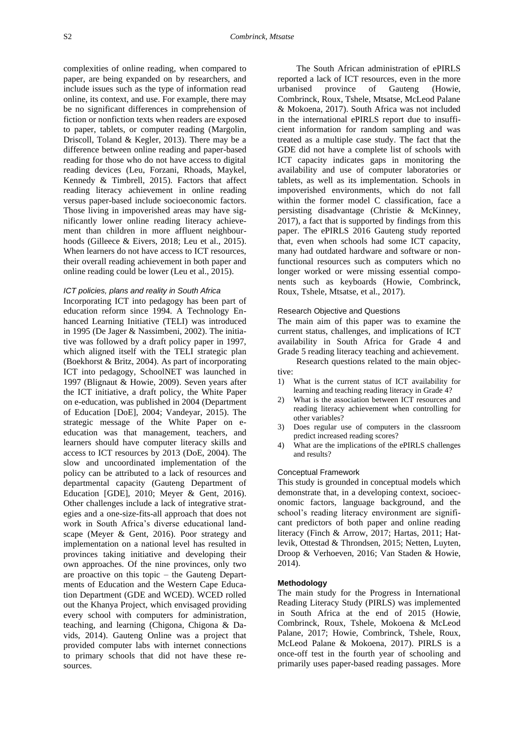complexities of online reading, when compared to paper, are being expanded on by researchers, and include issues such as the type of information read online, its context, and use. For example, there may be no significant differences in comprehension of fiction or nonfiction texts when readers are exposed to paper, tablets, or computer reading (Margolin, Driscoll, Toland & Kegler, 2013). There may be a difference between online reading and paper-based reading for those who do not have access to digital reading devices (Leu, Forzani, Rhoads, Maykel, Kennedy & Timbrell, 2015). Factors that affect reading literacy achievement in online reading versus paper-based include socioeconomic factors. Those living in impoverished areas may have significantly lower online reading literacy achievement than children in more affluent neighbourhoods (Gilleece & Eivers, 2018; Leu et al., 2015). When learners do not have access to ICT resources, their overall reading achievement in both paper and online reading could be lower (Leu et al., 2015).

# *ICT policies, plans and reality in South Africa*

Incorporating ICT into pedagogy has been part of education reform since 1994. A Technology Enhanced Learning Initiative (TELI) was introduced in 1995 (De Jager & Nassimbeni, 2002). The initiative was followed by a draft policy paper in 1997, which aligned itself with the TELI strategic plan (Boekhorst & Britz, 2004). As part of incorporating ICT into pedagogy, SchoolNET was launched in 1997 (Blignaut & Howie, 2009). Seven years after the ICT initiative, a draft policy, the White Paper on e-education, was published in 2004 (Department of Education [DoE], 2004; Vandeyar, 2015). The strategic message of the White Paper on eeducation was that management, teachers, and learners should have computer literacy skills and access to ICT resources by 2013 (DoE, 2004). The slow and uncoordinated implementation of the policy can be attributed to a lack of resources and departmental capacity (Gauteng Department of Education [GDE], 2010; Meyer & Gent, 2016). Other challenges include a lack of integrative strategies and a one-size-fits-all approach that does not work in South Africa's diverse educational landscape (Meyer & Gent, 2016). Poor strategy and implementation on a national level has resulted in provinces taking initiative and developing their own approaches. Of the nine provinces, only two are proactive on this topic – the Gauteng Departments of Education and the Western Cape Education Department (GDE and WCED). WCED rolled out the Khanya Project, which envisaged providing every school with computers for administration, teaching, and learning (Chigona, Chigona & Davids, 2014). Gauteng Online was a project that provided computer labs with internet connections to primary schools that did not have these resources.

The South African administration of ePIRLS reported a lack of ICT resources, even in the more urbanised province of Gauteng (Howie, Combrinck, Roux, Tshele, Mtsatse, McLeod Palane & Mokoena, 2017). South Africa was not included in the international ePIRLS report due to insufficient information for random sampling and was treated as a multiple case study. The fact that the GDE did not have a complete list of schools with ICT capacity indicates gaps in monitoring the availability and use of computer laboratories or tablets, as well as its implementation. Schools in impoverished environments, which do not fall within the former model C classification, face a persisting disadvantage (Christie & McKinney, 2017), a fact that is supported by findings from this paper. The ePIRLS 2016 Gauteng study reported that, even when schools had some ICT capacity, many had outdated hardware and software or nonfunctional resources such as computers which no longer worked or were missing essential components such as keyboards (Howie, Combrinck, Roux, Tshele, Mtsatse, et al., 2017).

#### Research Objective and Questions

The main aim of this paper was to examine the current status, challenges, and implications of ICT availability in South Africa for Grade 4 and Grade 5 reading literacy teaching and achievement.

Research questions related to the main objective:

- 1) What is the current status of ICT availability for learning and teaching reading literacy in Grade 4?
- 2) What is the association between ICT resources and reading literacy achievement when controlling for other variables?
- 3) Does regular use of computers in the classroom predict increased reading scores?
- 4) What are the implications of the ePIRLS challenges and results?

#### Conceptual Framework

This study is grounded in conceptual models which demonstrate that, in a developing context, socioeconomic factors, language background, and the school's reading literacy environment are significant predictors of both paper and online reading literacy (Finch & Arrow, 2017; Hartas, 2011; Hatlevik, Ottestad & Throndsen, 2015; Netten, Luyten, Droop & Verhoeven, 2016; Van Staden & Howie, 2014).

### **Methodology**

The main study for the Progress in International Reading Literacy Study (PIRLS) was implemented in South Africa at the end of 2015 (Howie, Combrinck, Roux, Tshele, Mokoena & McLeod Palane, 2017; Howie, Combrinck, Tshele, Roux, McLeod Palane & Mokoena, 2017). PIRLS is a once-off test in the fourth year of schooling and primarily uses paper-based reading passages. More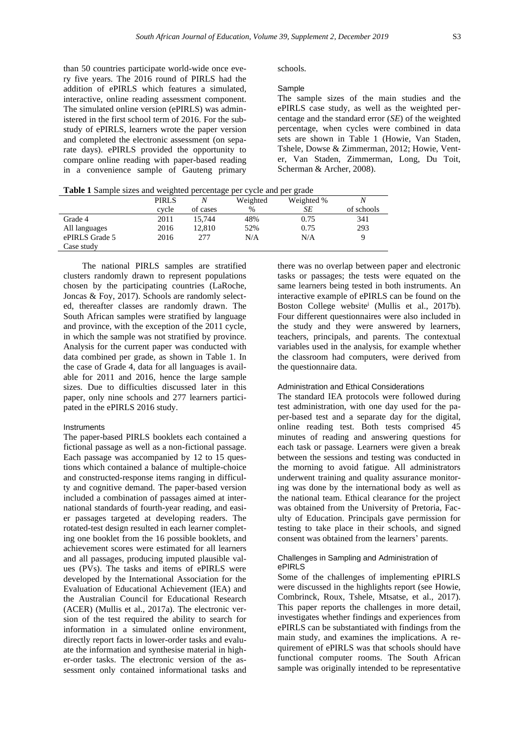than 50 countries participate world-wide once every five years. The 2016 round of PIRLS had the addition of ePIRLS which features a simulated, interactive, online reading assessment component. The simulated online version (ePIRLS) was administered in the first school term of 2016. For the substudy of ePIRLS, learners wrote the paper version and completed the electronic assessment (on separate days). ePIRLS provided the opportunity to compare online reading with paper-based reading in a convenience sample of Gauteng primary schools.

### Sample

The sample sizes of the main studies and the ePIRLS case study, as well as the weighted percentage and the standard error (*SE*) of the weighted percentage, when cycles were combined in data sets are shown in Table 1 (Howie, Van Staden, Tshele, Dowse & Zimmerman, 2012; Howie, Venter, Van Staden, Zimmerman, Long, Du Toit, Scherman & Archer, 2008).

**Table 1** Sample sizes and weighted percentage per cycle and per grade

|                | <b>PIRLS</b> |          | Weighted | Weighted % |            |
|----------------|--------------|----------|----------|------------|------------|
|                | cvcle        | of cases | $\%$     | SЕ         | of schools |
| Grade 4        | 2011         | 15.744   | 48%      | 0.75       | 341        |
| All languages  | 2016         | 12.810   | 52%      | 0.75       | 293        |
| ePIRLS Grade 5 | 2016         | 277      | N/A      | N/A        |            |
| Case study     |              |          |          |            |            |

The national PIRLS samples are stratified clusters randomly drawn to represent populations chosen by the participating countries (LaRoche, Joncas & Foy, 2017). Schools are randomly selected, thereafter classes are randomly drawn. The South African samples were stratified by language and province, with the exception of the 2011 cycle, in which the sample was not stratified by province. Analysis for the current paper was conducted with data combined per grade, as shown in Table 1. In the case of Grade 4, data for all languages is available for 2011 and 2016, hence the large sample sizes. Due to difficulties discussed later in this paper, only nine schools and 277 learners participated in the ePIRLS 2016 study.

#### Instruments

The paper-based PIRLS booklets each contained a fictional passage as well as a non-fictional passage. Each passage was accompanied by 12 to 15 questions which contained a balance of multiple-choice and constructed-response items ranging in difficulty and cognitive demand. The paper-based version included a combination of passages aimed at international standards of fourth-year reading, and easier passages targeted at developing readers. The rotated-test design resulted in each learner completing one booklet from the 16 possible booklets, and achievement scores were estimated for all learners and all passages, producing imputed plausible values (PVs). The tasks and items of ePIRLS were developed by the International Association for the Evaluation of Educational Achievement (IEA) and the Australian Council for Educational Research (ACER) (Mullis et al., 2017a). The electronic version of the test required the ability to search for information in a simulated online environment, directly report facts in lower-order tasks and evaluate the information and synthesise material in higher-order tasks. The electronic version of the assessment only contained informational tasks and

there was no overlap between paper and electronic tasks or passages; the tests were equated on the same learners being tested in both instruments. An interactive example of ePIRLS can be found on the Boston College website<sup>i</sup> (Mullis et al., 2017b). Four different questionnaires were also included in the study and they were answered by learners, teachers, principals, and parents. The contextual variables used in the analysis, for example whether the classroom had computers, were derived from the questionnaire data.

## Administration and Ethical Considerations

The standard IEA protocols were followed during test administration, with one day used for the paper-based test and a separate day for the digital, online reading test. Both tests comprised 45 minutes of reading and answering questions for each task or passage. Learners were given a break between the sessions and testing was conducted in the morning to avoid fatigue. All administrators underwent training and quality assurance monitoring was done by the international body as well as the national team. Ethical clearance for the project was obtained from the University of Pretoria, Faculty of Education. Principals gave permission for testing to take place in their schools, and signed consent was obtained from the learners' parents.

#### Challenges in Sampling and Administration of ePIRLS

Some of the challenges of implementing ePIRLS were discussed in the highlights report (see Howie, Combrinck, Roux, Tshele, Mtsatse, et al., 2017). This paper reports the challenges in more detail, investigates whether findings and experiences from ePIRLS can be substantiated with findings from the main study, and examines the implications. A requirement of ePIRLS was that schools should have functional computer rooms. The South African sample was originally intended to be representative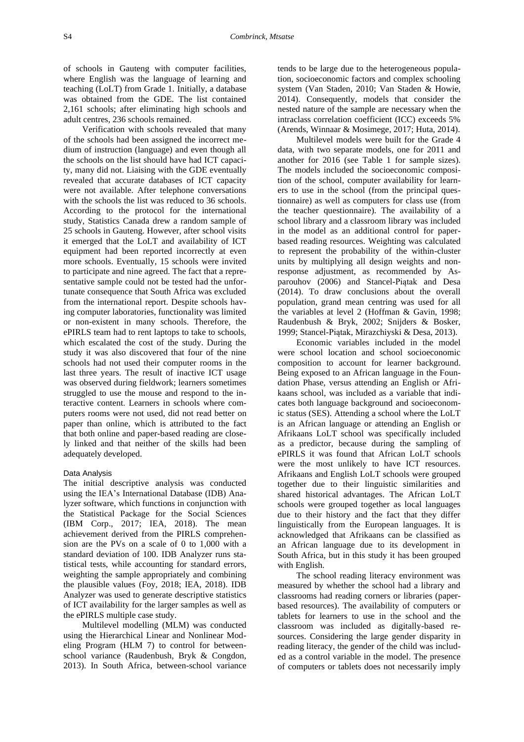of schools in Gauteng with computer facilities, where English was the language of learning and teaching (LoLT) from Grade 1. Initially, a database was obtained from the GDE. The list contained 2,161 schools; after eliminating high schools and adult centres, 236 schools remained.

Verification with schools revealed that many of the schools had been assigned the incorrect medium of instruction (language) and even though all the schools on the list should have had ICT capacity, many did not. Liaising with the GDE eventually revealed that accurate databases of ICT capacity were not available. After telephone conversations with the schools the list was reduced to 36 schools. According to the protocol for the international study, Statistics Canada drew a random sample of 25 schools in Gauteng. However, after school visits it emerged that the LoLT and availability of ICT equipment had been reported incorrectly at even more schools. Eventually, 15 schools were invited to participate and nine agreed. The fact that a representative sample could not be tested had the unfortunate consequence that South Africa was excluded from the international report. Despite schools having computer laboratories, functionality was limited or non-existent in many schools. Therefore, the ePIRLS team had to rent laptops to take to schools, which escalated the cost of the study. During the study it was also discovered that four of the nine schools had not used their computer rooms in the last three years. The result of inactive ICT usage was observed during fieldwork; learners sometimes struggled to use the mouse and respond to the interactive content. Learners in schools where computers rooms were not used, did not read better on paper than online, which is attributed to the fact that both online and paper-based reading are closely linked and that neither of the skills had been adequately developed.

#### Data Analysis

The initial descriptive analysis was conducted using the IEA's International Database (IDB) Analyzer software, which functions in conjunction with the Statistical Package for the Social Sciences (IBM Corp., 2017; IEA, 2018). The mean achievement derived from the PIRLS comprehension are the PVs on a scale of 0 to 1,000 with a standard deviation of 100. IDB Analyzer runs statistical tests, while accounting for standard errors, weighting the sample appropriately and combining the plausible values (Foy, 2018; IEA, 2018). IDB Analyzer was used to generate descriptive statistics of ICT availability for the larger samples as well as the ePIRLS multiple case study.

Multilevel modelling (MLM) was conducted using the Hierarchical Linear and Nonlinear Modeling Program (HLM 7) to control for betweenschool variance (Raudenbush, Bryk & Congdon, 2013). In South Africa, between-school variance

tends to be large due to the heterogeneous population, socioeconomic factors and complex schooling system (Van Staden, 2010; Van Staden & Howie, 2014). Consequently, models that consider the nested nature of the sample are necessary when the intraclass correlation coefficient (ICC) exceeds 5% (Arends, Winnaar & Mosimege, 2017; Huta, 2014).

Multilevel models were built for the Grade 4 data, with two separate models, one for 2011 and another for 2016 (see Table 1 for sample sizes). The models included the socioeconomic composition of the school, computer availability for learners to use in the school (from the principal questionnaire) as well as computers for class use (from the teacher questionnaire). The availability of a school library and a classroom library was included in the model as an additional control for paperbased reading resources. Weighting was calculated to represent the probability of the within-cluster units by multiplying all design weights and nonresponse adjustment, as recommended by Asparouhov (2006) and Stancel-Piątak and Desa (2014). To draw conclusions about the overall population, grand mean centring was used for all the variables at level 2 (Hoffman & Gavin, 1998; Raudenbush & Bryk, 2002; Snijders & Bosker, 1999; Stancel-Piątak, Mirazchiyski & Desa, 2013).

Economic variables included in the model were school location and school socioeconomic composition to account for learner background. Being exposed to an African language in the Foundation Phase, versus attending an English or Afrikaans school, was included as a variable that indicates both language background and socioeconomic status (SES). Attending a school where the LoLT is an African language or attending an English or Afrikaans LoLT school was specifically included as a predictor, because during the sampling of ePIRLS it was found that African LoLT schools were the most unlikely to have ICT resources. Afrikaans and English LoLT schools were grouped together due to their linguistic similarities and shared historical advantages. The African LoLT schools were grouped together as local languages due to their history and the fact that they differ linguistically from the European languages. It is acknowledged that Afrikaans can be classified as an African language due to its development in South Africa, but in this study it has been grouped with English.

The school reading literacy environment was measured by whether the school had a library and classrooms had reading corners or libraries (paperbased resources). The availability of computers or tablets for learners to use in the school and the classroom was included as digitally-based resources. Considering the large gender disparity in reading literacy, the gender of the child was included as a control variable in the model. The presence of computers or tablets does not necessarily imply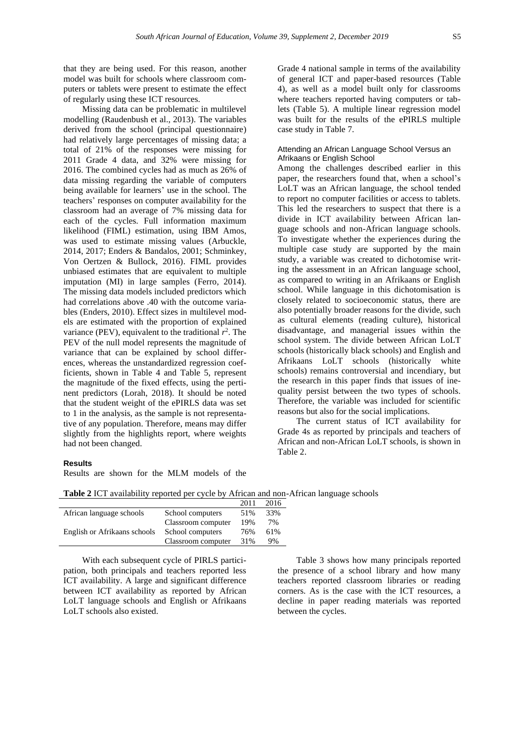that they are being used. For this reason, another model was built for schools where classroom computers or tablets were present to estimate the effect of regularly using these ICT resources.

Missing data can be problematic in multilevel modelling (Raudenbush et al., 2013). The variables derived from the school (principal questionnaire) had relatively large percentages of missing data; a total of 21% of the responses were missing for 2011 Grade 4 data, and 32% were missing for 2016. The combined cycles had as much as 26% of data missing regarding the variable of computers being available for learners' use in the school. The teachers' responses on computer availability for the classroom had an average of 7% missing data for each of the cycles. Full information maximum likelihood (FIML) estimation, using IBM Amos, was used to estimate missing values (Arbuckle, 2014, 2017; Enders & Bandalos, 2001; Schminkey, Von Oertzen & Bullock, 2016). FIML provides unbiased estimates that are equivalent to multiple imputation (MI) in large samples (Ferro, 2014). The missing data models included predictors which had correlations above .40 with the outcome variables (Enders, 2010). Effect sizes in multilevel models are estimated with the proportion of explained variance (PEV), equivalent to the traditional  $r^2$ . The PEV of the null model represents the magnitude of variance that can be explained by school differences, whereas the unstandardized regression coefficients, shown in Table 4 and Table 5, represent the magnitude of the fixed effects, using the pertinent predictors (Lorah, 2018). It should be noted that the student weight of the ePIRLS data was set to 1 in the analysis, as the sample is not representative of any population. Therefore, means may differ slightly from the highlights report, where weights had not been changed.

Grade 4 national sample in terms of the availability of general ICT and paper-based resources (Table 4), as well as a model built only for classrooms where teachers reported having computers or tablets (Table 5). A multiple linear regression model was built for the results of the ePIRLS multiple case study in Table 7.

# Attending an African Language School Versus an Afrikaans or English School

Among the challenges described earlier in this paper, the researchers found that, when a school's LoLT was an African language, the school tended to report no computer facilities or access to tablets. This led the researchers to suspect that there is a divide in ICT availability between African language schools and non-African language schools. To investigate whether the experiences during the multiple case study are supported by the main study, a variable was created to dichotomise writing the assessment in an African language school, as compared to writing in an Afrikaans or English school. While language in this dichotomisation is closely related to socioeconomic status, there are also potentially broader reasons for the divide, such as cultural elements (reading culture), historical disadvantage, and managerial issues within the school system. The divide between African LoLT schools (historically black schools) and English and Afrikaans LoLT schools (historically white schools) remains controversial and incendiary, but the research in this paper finds that issues of inequality persist between the two types of schools. Therefore, the variable was included for scientific reasons but also for the social implications.

The current status of ICT availability for Grade 4s as reported by principals and teachers of African and non-African LoLT schools, is shown in Table 2.

# **Results**

Results are shown for the MLM models of the

| <b>Table 2 ICT</b> availability reported per cycle by African and non-African language schools |  |  |
|------------------------------------------------------------------------------------------------|--|--|
|------------------------------------------------------------------------------------------------|--|--|

|                              |                    | 2011 | 2016 |
|------------------------------|--------------------|------|------|
| African language schools     | School computers   | 51%  | 33%  |
|                              | Classroom computer | 19%  | 7%   |
| English or Afrikaans schools | School computers   | 76%  | 61%  |
|                              | Classroom computer | 31%  | 9%   |

With each subsequent cycle of PIRLS participation, both principals and teachers reported less ICT availability. A large and significant difference between ICT availability as reported by African LoLT language schools and English or Afrikaans LoLT schools also existed.

Table 3 shows how many principals reported the presence of a school library and how many teachers reported classroom libraries or reading corners. As is the case with the ICT resources, a decline in paper reading materials was reported between the cycles.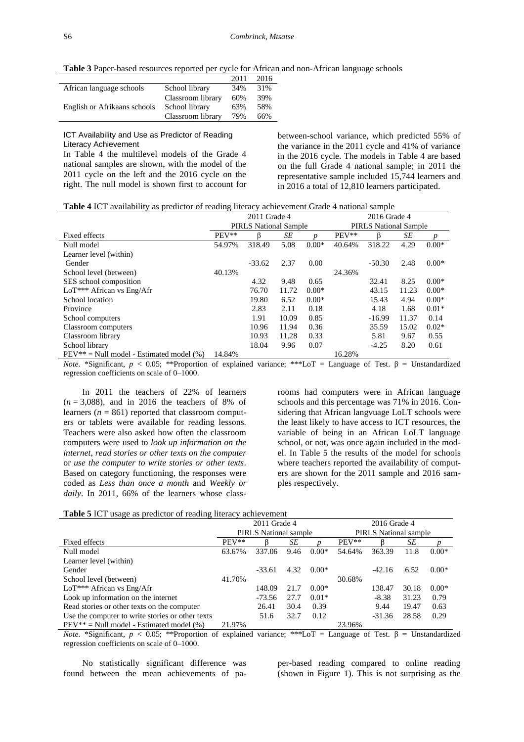**Table 3** Paper-based resources reported per cycle for African and non-African language schools

|                              |                   | 2011 | 2016 |
|------------------------------|-------------------|------|------|
| African language schools     | School library    | 34%  | 31%  |
|                              | Classroom library | 60%  | 39%  |
| English or Afrikaans schools | School library    | 63%  | 58%  |
|                              | Classroom library | 79%  | 66%  |

ICT Availability and Use as Predictor of Reading Literacy Achievement

In Table 4 the multilevel models of the Grade 4 national samples are shown, with the model of the 2011 cycle on the left and the 2016 cycle on the right. The null model is shown first to account for

between-school variance, which predicted 55% of the variance in the 2011 cycle and 41% of variance in the 2016 cycle. The models in Table 4 are based on the full Grade 4 national sample; in 2011 the representative sample included 15,744 learners and in 2016 a total of 12,810 learners participated.

|                                               | 2011 Grade 4 |                              |       | 2016 Grade 4 |                              |          |       |         |
|-----------------------------------------------|--------------|------------------------------|-------|--------------|------------------------------|----------|-------|---------|
|                                               |              | <b>PIRLS</b> National Sample |       |              | <b>PIRLS</b> National Sample |          |       |         |
| Fixed effects                                 | $PEV**$      |                              | SE    |              | PEV**                        | ß        | SE    |         |
| Null model                                    | 54.97%       | 318.49                       | 5.08  | $0.00*$      | 40.64%                       | 318.22   | 4.29  | $0.00*$ |
| Learner level (within)                        |              |                              |       |              |                              |          |       |         |
| Gender                                        |              | $-33.62$                     | 2.37  | 0.00         |                              | $-50.30$ | 2.48  | $0.00*$ |
| School level (between)                        | 40.13%       |                              |       |              | 24.36%                       |          |       |         |
| SES school composition                        |              | 4.32                         | 9.48  | 0.65         |                              | 32.41    | 8.25  | $0.00*$ |
| LoT*** African vs Eng/Afr                     |              | 76.70                        | 11.72 | $0.00*$      |                              | 43.15    | 11.23 | $0.00*$ |
| School location                               |              | 19.80                        | 6.52  | $0.00*$      |                              | 15.43    | 4.94  | $0.00*$ |
| Province                                      |              | 2.83                         | 2.11  | 0.18         |                              | 4.18     | 1.68  | $0.01*$ |
| School computers                              |              | 1.91                         | 10.09 | 0.85         |                              | $-16.99$ | 11.37 | 0.14    |
| Classroom computers                           |              | 10.96                        | 11.94 | 0.36         |                              | 35.59    | 15.02 | $0.02*$ |
| Classroom library                             |              | 10.93                        | 11.28 | 0.33         |                              | 5.81     | 9.67  | 0.55    |
| School library                                |              | 18.04                        | 9.96  | 0.07         |                              | $-4.25$  | 8.20  | 0.61    |
| $PEV^{**} = Null$ model - Estimated model (%) | 14.84%       |                              |       |              | 16.28%                       |          |       |         |

*Note*. \*Significant, *p* < 0.05; \*\*Proportion of explained variance; \*\*\*LoT = Language of Test. β = Unstandardized regression coefficients on scale of 0–1000.

In 2011 the teachers of 22% of learners  $(n = 3,088)$ , and in 2016 the teachers of 8% of learners ( $n = 861$ ) reported that classroom computers or tablets were available for reading lessons. Teachers were also asked how often the classroom computers were used to *look up information on the internet*, *read stories or other texts on the computer* or *use the computer to write stories or other texts*. Based on category functioning, the responses were coded as *Less than once a month* and *Weekly or daily*. In 2011, 66% of the learners whose classrooms had computers were in African language schools and this percentage was 71% in 2016. Considering that African langvuage LoLT schools were the least likely to have access to ICT resources, the variable of being in an African LoLT language school, or not, was once again included in the model. In Table 5 the results of the model for schools where teachers reported the availability of computers are shown for the 2011 sample and 2016 samples respectively.

| <b>Table 5 ICT</b> usage as predictor of reading literacy achievement |  |  |  |  |  |
|-----------------------------------------------------------------------|--|--|--|--|--|
|-----------------------------------------------------------------------|--|--|--|--|--|

|                                                  | 2011 Grade 4 |                       |      | 2016 Grade 4 |                              |          |       |         |
|--------------------------------------------------|--------------|-----------------------|------|--------------|------------------------------|----------|-------|---------|
|                                                  |              | PIRLS National sample |      |              | <b>PIRLS</b> National sample |          |       |         |
| Fixed effects                                    | $PEV**$      |                       | SЕ   |              | $PEV**$                      |          | SЕ    |         |
| Null model                                       | 63.67%       | 337.06                | 9.46 | $0.00*$      | 54.64%                       | 363.39   | 11.8  | $0.00*$ |
| Learner level (within)                           |              |                       |      |              |                              |          |       |         |
| Gender                                           |              | $-33.61$              | 4.32 | $0.00*$      |                              | $-42.16$ | 6.52  | $0.00*$ |
| School level (between)                           | 41.70%       |                       |      |              | 30.68%                       |          |       |         |
| LoT*** African vs Eng/Afr                        |              | 148.09                | 21.7 | $0.00*$      |                              | 138.47   | 30.18 | $0.00*$ |
| Look up information on the internet              |              | -73.56                | 27.7 | $0.01*$      |                              | $-8.38$  | 31.23 | 0.79    |
| Read stories or other texts on the computer      |              | 26.41                 | 30.4 | 0.39         |                              | 9.44     | 19.47 | 0.63    |
| Use the computer to write stories or other texts |              | 51.6                  | 32.7 | 0.12         |                              | $-31.36$ | 28.58 | 0.29    |
| $PEV^{**} = Null$ model - Estimated model (%)    | 21.97%       |                       |      |              | 23.96%                       |          |       |         |

*Note*. \*Significant, *p* < 0.05; \*\*Proportion of explained variance; \*\*\*LoT = Language of Test. β = Unstandardized regression coefficients on scale of 0–1000.

No statistically significant difference was found between the mean achievements of paper-based reading compared to online reading (shown in Figure 1). This is not surprising as the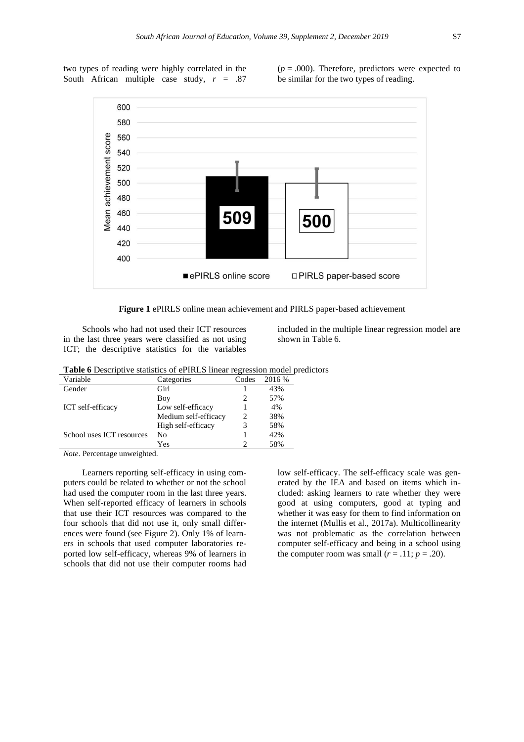two types of reading were highly correlated in the South African multiple case study, *r* = .87

 $(p = .000)$ . Therefore, predictors were expected to be similar for the two types of reading.



**Figure 1** ePIRLS online mean achievement and PIRLS paper-based achievement

Schools who had not used their ICT resources in the last three years were classified as not using ICT; the descriptive statistics for the variables

included in the multiple linear regression model are shown in Table 6.

| Table 6 Descriptive statistics of ePIRLS linear regression model predictors |  |
|-----------------------------------------------------------------------------|--|
|-----------------------------------------------------------------------------|--|

| Categories           | Codes | 2016 % |
|----------------------|-------|--------|
| Girl                 |       | 43%    |
| Boy                  |       | 57%    |
| Low self-efficacy    |       | 4%     |
| Medium self-efficacy |       | 38%    |
| High self-efficacy   |       | 58%    |
| No                   |       | 42%    |
| Yes                  |       | 58%    |
|                      |       |        |

*Note*. Percentage unweighted.

Learners reporting self-efficacy in using computers could be related to whether or not the school had used the computer room in the last three years. When self-reported efficacy of learners in schools that use their ICT resources was compared to the four schools that did not use it, only small differences were found (see Figure 2). Only 1% of learners in schools that used computer laboratories reported low self-efficacy, whereas 9% of learners in schools that did not use their computer rooms had

low self-efficacy. The self-efficacy scale was generated by the IEA and based on items which included: asking learners to rate whether they were good at using computers, good at typing and whether it was easy for them to find information on the internet (Mullis et al., 2017a). Multicollinearity was not problematic as the correlation between computer self-efficacy and being in a school using the computer room was small  $(r = .11; p = .20)$ .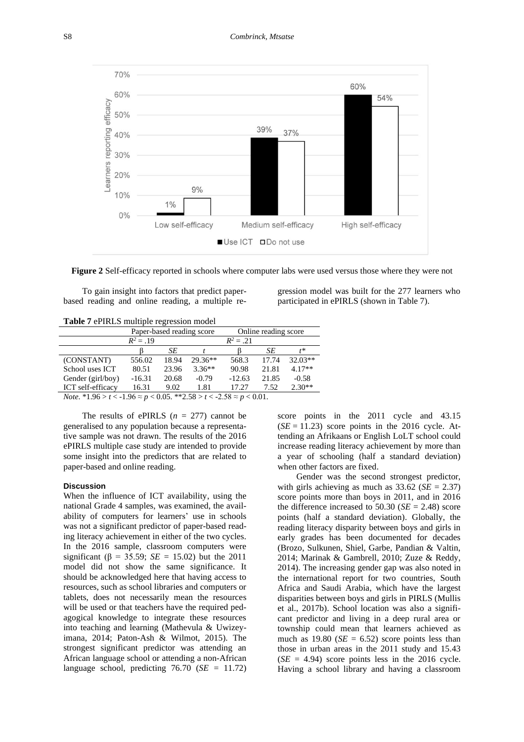

**Figure 2** Self-efficacy reported in schools where computer labs were used versus those where they were not

To gain insight into factors that predict paperbased reading and online reading, a multiple re-

gression model was built for the 277 learners who participated in ePIRLS (shown in Table 7).

**Table 7** ePIRLS multiple regression model

|                                                                                                                                    | Paper-based reading score |       |           | Online reading score |       |           |
|------------------------------------------------------------------------------------------------------------------------------------|---------------------------|-------|-----------|----------------------|-------|-----------|
|                                                                                                                                    | $R^2 = 19$                |       |           | $R^2 = .21$          |       |           |
|                                                                                                                                    |                           | SЕ    |           |                      | SЕ    | r*        |
| (CONSTANT)                                                                                                                         | 556.02                    | 18.94 | $29.36**$ | 568.3                | 17.74 | $32.03**$ |
| School uses ICT                                                                                                                    | 80.51                     | 23.96 | $3.36**$  | 90.98                | 21.81 | $4.17**$  |
| Gender (girl/boy)                                                                                                                  | $-16.31$                  | 20.68 | $-0.79$   | $-12.63$             | 21.85 | $-0.58$   |
| ICT self-efficacy                                                                                                                  | 16.31                     | 9.02  | 1.81      | 17.27                | 7.52  | $2.30**$  |
| $N_{\text{obs}}$ *1.06 $\times$ + $\times$ 1.06 $\times$ p $\times$ 0.05 ** 2.50 $\times$ + $\times$ 2.50 $\times$ p $\times$ 0.01 |                           |       |           |                      |       |           |

 $0.05$ . \*\*2.58 > *t* < -2.58  $\approx$  *p* < 0.01.

The results of ePIRLS  $(n = 277)$  cannot be generalised to any population because a representative sample was not drawn. The results of the 2016 ePIRLS multiple case study are intended to provide some insight into the predictors that are related to paper-based and online reading.

#### **Discussion**

When the influence of ICT availability, using the national Grade 4 samples, was examined, the availability of computers for learners' use in schools was not a significant predictor of paper-based reading literacy achievement in either of the two cycles. In the 2016 sample, classroom computers were significant ( $\beta = 35.59$ ; *SE* = 15.02) but the 2011 model did not show the same significance. It should be acknowledged here that having access to resources, such as school libraries and computers or tablets, does not necessarily mean the resources will be used or that teachers have the required pedagogical knowledge to integrate these resources into teaching and learning (Mathevula & Uwizeyimana, 2014; Paton-Ash & Wilmot, 2015). The strongest significant predictor was attending an African language school or attending a non-African language school, predicting 76.70 (*SE* = 11.72) score points in the 2011 cycle and 43.15  $(SE = 11.23)$  score points in the 2016 cycle. Attending an Afrikaans or English LoLT school could increase reading literacy achievement by more than a year of schooling (half a standard deviation) when other factors are fixed.

Gender was the second strongest predictor, with girls achieving as much as  $33.62$  (*SE* = 2.37) score points more than boys in 2011, and in 2016 the difference increased to 50.30 ( $SE = 2.48$ ) score points (half a standard deviation). Globally, the reading literacy disparity between boys and girls in early grades has been documented for decades (Brozo, Sulkunen, Shiel, Garbe, Pandian & Valtin, 2014; Marinak & Gambrell, 2010; Zuze & Reddy, 2014). The increasing gender gap was also noted in the international report for two countries, South Africa and Saudi Arabia, which have the largest disparities between boys and girls in PIRLS (Mullis et al., 2017b). School location was also a significant predictor and living in a deep rural area or township could mean that learners achieved as much as  $19.80$  (*SE* = 6.52) score points less than those in urban areas in the 2011 study and 15.43  $(SE = 4.94)$  score points less in the 2016 cycle. Having a school library and having a classroom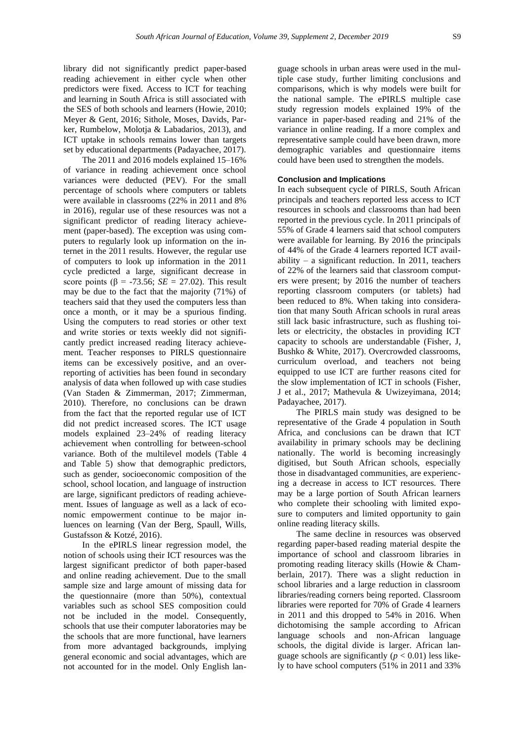library did not significantly predict paper-based reading achievement in either cycle when other predictors were fixed. Access to ICT for teaching and learning in South Africa is still associated with the SES of both schools and learners (Howie, 2010; Meyer & Gent, 2016; Sithole, Moses, Davids, Parker, Rumbelow, Molotja & Labadarios, 2013), and ICT uptake in schools remains lower than targets set by educational departments (Padayachee, 2017).

The 2011 and 2016 models explained 15–16% of variance in reading achievement once school variances were deducted (PEV). For the small percentage of schools where computers or tablets were available in classrooms (22% in 2011 and 8% in 2016), regular use of these resources was not a significant predictor of reading literacy achievement (paper-based). The exception was using computers to regularly look up information on the internet in the 2011 results. However, the regular use of computers to look up information in the 2011 cycle predicted a large, significant decrease in score points ( $\beta$  = -73.56; *SE* = 27.02). This result may be due to the fact that the majority (71%) of teachers said that they used the computers less than once a month, or it may be a spurious finding. Using the computers to read stories or other text and write stories or texts weekly did not significantly predict increased reading literacy achievement. Teacher responses to PIRLS questionnaire items can be excessively positive, and an overreporting of activities has been found in secondary analysis of data when followed up with case studies (Van Staden & Zimmerman, 2017; Zimmerman, 2010). Therefore, no conclusions can be drawn from the fact that the reported regular use of ICT did not predict increased scores. The ICT usage models explained 23–24% of reading literacy achievement when controlling for between-school variance. Both of the multilevel models (Table 4 and Table 5) show that demographic predictors, such as gender, socioeconomic composition of the school, school location, and language of instruction are large, significant predictors of reading achievement. Issues of language as well as a lack of economic empowerment continue to be major inluences on learning (Van der Berg, Spaull, Wills, Gustafsson & Kotzé, 2016).

In the ePIRLS linear regression model, the notion of schools using their ICT resources was the largest significant predictor of both paper-based and online reading achievement. Due to the small sample size and large amount of missing data for the questionnaire (more than 50%), contextual variables such as school SES composition could not be included in the model. Consequently, schools that use their computer laboratories may be the schools that are more functional, have learners from more advantaged backgrounds, implying general economic and social advantages, which are not accounted for in the model. Only English language schools in urban areas were used in the multiple case study, further limiting conclusions and comparisons, which is why models were built for the national sample. The ePIRLS multiple case study regression models explained 19% of the variance in paper-based reading and 21% of the variance in online reading. If a more complex and representative sample could have been drawn, more demographic variables and questionnaire items could have been used to strengthen the models.

# **Conclusion and Implications**

In each subsequent cycle of PIRLS, South African principals and teachers reported less access to ICT resources in schools and classrooms than had been reported in the previous cycle. In 2011 principals of 55% of Grade 4 learners said that school computers were available for learning. By 2016 the principals of 44% of the Grade 4 learners reported ICT availability – a significant reduction. In 2011, teachers of 22% of the learners said that classroom computers were present; by 2016 the number of teachers reporting classroom computers (or tablets) had been reduced to 8%. When taking into consideration that many South African schools in rural areas still lack basic infrastructure, such as flushing toilets or electricity, the obstacles in providing ICT capacity to schools are understandable (Fisher, J, Bushko & White, 2017). Overcrowded classrooms, curriculum overload, and teachers not being equipped to use ICT are further reasons cited for the slow implementation of ICT in schools (Fisher, J et al., 2017; Mathevula & Uwizeyimana, 2014; Padayachee, 2017).

The PIRLS main study was designed to be representative of the Grade 4 population in South Africa, and conclusions can be drawn that ICT availability in primary schools may be declining nationally. The world is becoming increasingly digitised, but South African schools, especially those in disadvantaged communities, are experiencing a decrease in access to ICT resources. There may be a large portion of South African learners who complete their schooling with limited exposure to computers and limited opportunity to gain online reading literacy skills.

The same decline in resources was observed regarding paper-based reading material despite the importance of school and classroom libraries in promoting reading literacy skills (Howie & Chamberlain, 2017). There was a slight reduction in school libraries and a large reduction in classroom libraries/reading corners being reported. Classroom libraries were reported for 70% of Grade 4 learners in 2011 and this dropped to 54% in 2016. When dichotomising the sample according to African language schools and non-African language schools, the digital divide is larger. African language schools are significantly  $(p < 0.01)$  less likely to have school computers (51% in 2011 and 33%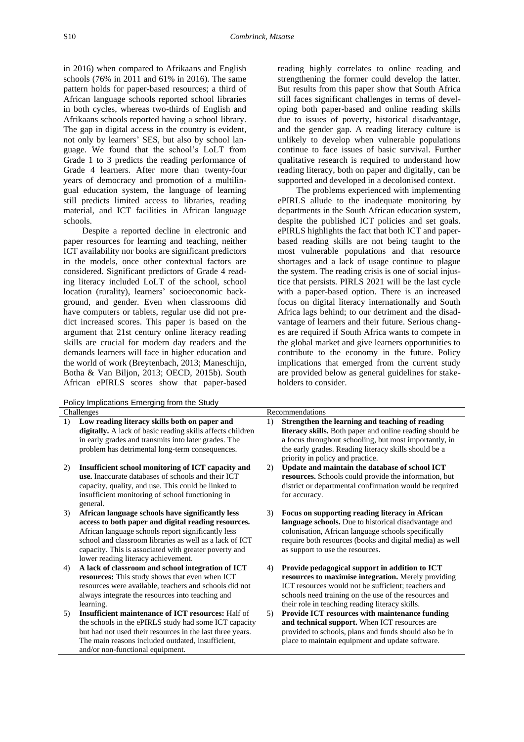in 2016) when compared to Afrikaans and English schools (76% in 2011 and 61% in 2016). The same pattern holds for paper-based resources; a third of African language schools reported school libraries in both cycles, whereas two-thirds of English and Afrikaans schools reported having a school library. The gap in digital access in the country is evident, not only by learners' SES, but also by school language. We found that the school's LoLT from Grade 1 to 3 predicts the reading performance of Grade 4 learners. After more than twenty-four years of democracy and promotion of a multilingual education system, the language of learning still predicts limited access to libraries, reading material, and ICT facilities in African language schools.

Despite a reported decline in electronic and paper resources for learning and teaching, neither ICT availability nor books are significant predictors in the models, once other contextual factors are considered. Significant predictors of Grade 4 reading literacy included LoLT of the school, school location (rurality), learners' socioeconomic background, and gender. Even when classrooms did have computers or tablets, regular use did not predict increased scores. This paper is based on the argument that 21st century online literacy reading skills are crucial for modern day readers and the demands learners will face in higher education and the world of work (Breytenbach, 2013; Maneschijn, Botha & Van Biljon, 2013; OECD, 2015b). South African ePIRLS scores show that paper-based

Policy Implications Emerging from the Study

- Challenges 1) **Low reading literacy skills both on paper and**  digitally. A lack of basic reading skills affects c in early grades and transmits into later grades. The problem has detrimental long-term consequence
- 2) **Insufficient school monitoring of ICT capacity** use. Inaccurate databases of schools and their IC capacity, quality, and use. This could be linked insufficient monitoring of school functioning in general.
- 3) African language schools have significantly less access to both paper and digital reading resources. African language schools report significantly lea school and classroom libraries as well as a lack capacity. This is associated with greater poverty lower reading literacy achievement.
- 4) A lack of classroom and school integration of resources: This study shows that even when IC resources were available, teachers and schools d always integrate the resources into teaching and learning.
- 5) **Insufficient maintenance of ICT resources:** H the schools in the ePIRLS study had some ICT but had not used their resources in the last three The main reasons included outdated, insufficient and/or non-functional equipment.

reading highly correlates to online reading and strengthening the former could develop the latter. But results from this paper show that South Africa still faces significant challenges in terms of developing both paper-based and online reading skills due to issues of poverty, historical disadvantage, and the gender gap. A reading literacy culture is unlikely to develop when vulnerable populations continue to face issues of basic survival. Further qualitative research is required to understand how reading literacy, both on paper and digitally, can be supported and developed in a decolonised context.

The problems experienced with implementing ePIRLS allude to the inadequate monitoring by departments in the South African education system, despite the published ICT policies and set goals. ePIRLS highlights the fact that both ICT and paperbased reading skills are not being taught to the most vulnerable populations and that resource shortages and a lack of usage continue to plague the system. The reading crisis is one of social injustice that persists. PIRLS 2021 will be the last cycle with a paper-based option. There is an increased focus on digital literacy internationally and South Africa lags behind; to our detriment and the disadvantage of learners and their future. Serious changes are required if South Africa wants to compete in the global market and give learners opportunities to contribute to the economy in the future. Policy implications that emerged from the current study are provided below as general guidelines for stakeholders to consider.

|                                         |    | Recommendations                                                                                                                                                                                                                                                          |
|-----------------------------------------|----|--------------------------------------------------------------------------------------------------------------------------------------------------------------------------------------------------------------------------------------------------------------------------|
| ł.<br>children<br>The<br>$\mathbf{S}$ . | 1) | Strengthen the learning and teaching of reading<br>literacy skills. Both paper and online reading should be<br>a focus throughout schooling, but most importantly, in<br>the early grades. Reading literacy skills should be a<br>priority in policy and practice.       |
| ty and<br>CТ<br>to                      | 2) | Update and maintain the database of school ICT<br>resources. Schools could provide the information, but<br>district or departmental confirmation would be required<br>for accuracy.                                                                                      |
| ess<br>urces.<br>SS<br>of ICT<br>≀ and  | 3) | Focus on supporting reading literacy in African<br><b>language schools.</b> Due to historical disadvantage and<br>colonisation, African language schools specifically<br>require both resources (books and digital media) as well<br>as support to use the resources.    |
| <b>ICT</b><br>'T<br>lid not             | 4) | Provide pedagogical support in addition to ICT<br>resources to maximise integration. Merely providing<br>ICT resources would not be sufficient; teachers and<br>schools need training on the use of the resources and<br>their role in teaching reading literacy skills. |
| Ialf of<br>capacity<br>years.<br>ıt.    | 5) | <b>Provide ICT resources with maintenance funding</b><br>and technical support. When ICT resources are<br>provided to schools, plans and funds should also be in<br>place to maintain equipment and update software.                                                     |
|                                         |    |                                                                                                                                                                                                                                                                          |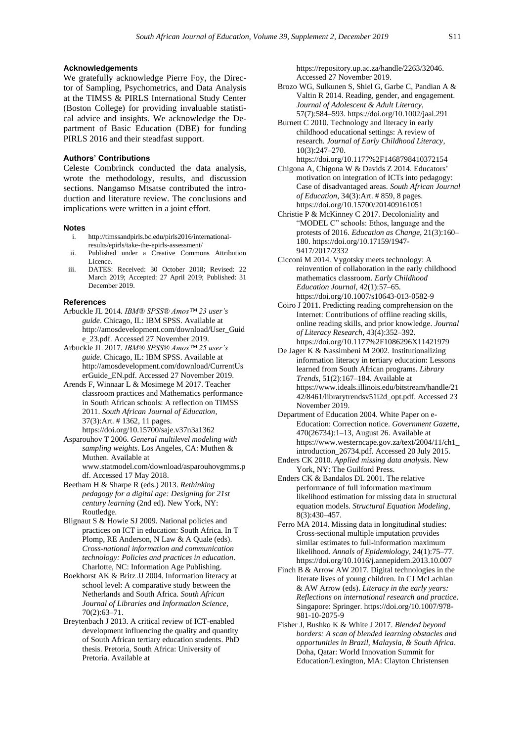#### **Acknowledgements**

We gratefully acknowledge Pierre Foy, the Director of Sampling, Psychometrics, and Data Analysis at the TIMSS & PIRLS International Study Center (Boston College) for providing invaluable statistical advice and insights. We acknowledge the Department of Basic Education (DBE) for funding PIRLS 2016 and their steadfast support.

# **Authors' Contributions**

Celeste Combrinck conducted the data analysis, wrote the methodology, results, and discussion sections. Nangamso Mtsatse contributed the introduction and literature review. The conclusions and implications were written in a joint effort.

#### **Notes**

- i. [http://timssandpirls.bc.edu/pirls2016/international](http://timssandpirls.bc.edu/pirls2016/international-results/epirls/take-the-epirls-assessment/)[results/epirls/take-the-epirls-assessment/](http://timssandpirls.bc.edu/pirls2016/international-results/epirls/take-the-epirls-assessment/)
- ii. Published under a Creative Commons Attribution Licence.
- iii. DATES: Received: 30 October 2018; Revised: 22 March 2019; Accepted: 27 April 2019; Published: 31 December 2019.

#### **References**

- Arbuckle JL 2014. *IBM® SPSS® Amos™ 23 user's guide*. Chicago, IL: IBM SPSS. Available at [http://amosdevelopment.com/download/User\\_Guid](http://amosdevelopment.com/download/User_Guide_23.pdf) [e\\_23.pdf.](http://amosdevelopment.com/download/User_Guide_23.pdf) Accessed 27 November 2019.
- Arbuckle JL 2017. *IBM® SPSS® Amos™ 25 user's guide*. Chicago, IL: IBM SPSS. Available at [http://amosdevelopment.com/download/CurrentUs](http://amosdevelopment.com/download/CurrentUserGuide_EN.pdf.%20Accessed%2027%20November%202019) [erGuide\\_EN.pdf. Accessed 27 November 2019.](http://amosdevelopment.com/download/CurrentUserGuide_EN.pdf.%20Accessed%2027%20November%202019)
- Arends F, Winnaar L & Mosimege M 2017. Teacher classroom practices and Mathematics performance in South African schools: A reflection on TIMSS 2011. *South African Journal of Education*, 37(3):Art. # 1362, 11 pages.
- <https://doi.org/10.15700/saje.v37n3a1362> Asparouhov T 2006. *General multilevel modeling with sampling weights*. Los Angeles, CA: Muthen & Muthen. Available at [www.statmodel.com/download/asparouhovgmms.p](http://www.statmodel.com/download/asparouhovgmms.pdf) [df.](http://www.statmodel.com/download/asparouhovgmms.pdf) Accessed 17 May 2018.
- Beetham H & Sharpe R (eds.) 2013. *Rethinking pedagogy for a digital age: Designing for 21st century learning* (2nd ed). New York, NY: Routledge.
- Blignaut S & Howie SJ 2009. National policies and practices on ICT in education: South Africa. In T Plomp, RE Anderson, N Law & A Quale (eds). *Cross-national information and communication technology: Policies and practices in education*. Charlotte, NC: Information Age Publishing.
- Boekhorst AK & Britz JJ 2004. Information literacy at school level: A comparative study between the Netherlands and South Africa. *South African Journal of Libraries and Information Science*, 70(2):63–71.
- Breytenbach J 2013. A critical review of ICT-enabled development influencing the quality and quantity of South African tertiary education students. PhD thesis. Pretoria, South Africa: University of Pretoria. Available at

[https://repository.up.ac.za/handle/2263/32046.](https://repository.up.ac.za/handle/2263/32046) Accessed 27 November 2019.

- Brozo WG, Sulkunen S, Shiel G, Garbe C, Pandian A & Valtin R 2014. Reading, gender, and engagement. *Journal of Adolescent & Adult Literacy*, 57(7):584–593[. https://doi.org/10.1002/jaal.291](https://doi.org/10.1002/jaal.291)
- Burnett C 2010. Technology and literacy in early childhood educational settings: A review of research. *Journal of Early Childhood Literacy*, 10(3):247–270.
- <https://doi.org/10.1177%2F1468798410372154> Chigona A, Chigona W & Davids Z 2014. Educators' motivation on integration of ICTs into pedagogy: Case of disadvantaged areas. *South African Journal of Education*, 34(3):Art. # 859, 8 pages. <https://doi.org/10.15700/201409161051>
- Christie P & McKinney C 2017. Decoloniality and "MODEL C" schools: Ethos, language and the protests of 2016. *Education as Change*, 21(3):160– 180[. https://doi.org/10.17159/1947-](https://doi.org/10.17159/1947-9417/2017/2332) [9417/2017/2332](https://doi.org/10.17159/1947-9417/2017/2332)
- Cicconi M 2014. Vygotsky meets technology: A reinvention of collaboration in the early childhood mathematics classroom. *Early Childhood Education Journal*, 42(1):57–65. <https://doi.org/10.1007/s10643-013-0582-9>
- Coiro J 2011. Predicting reading comprehension on the Internet: Contributions of offline reading skills, online reading skills, and prior knowledge. *Journal of Literacy Research*, 43(4):352–392. <https://doi.org/10.1177%2F1086296X11421979>
- De Jager K & Nassimbeni M 2002. Institutionalizing information literacy in tertiary education: Lessons learned from South African programs. *Library Trends*, 51(2):167–184. Available at [https://www.ideals.illinois.edu/bitstream/handle/21](https://www.ideals.illinois.edu/bitstream/handle/2142/8461/librarytrendsv51i2d_opt.pdf) [42/8461/librarytrendsv51i2d\\_opt.pdf.](https://www.ideals.illinois.edu/bitstream/handle/2142/8461/librarytrendsv51i2d_opt.pdf) Accessed 23 November 2019.
- Department of Education 2004. White Paper on e-Education: Correction notice. *Government Gazette*, 470(26734):1–13, August 26. Available at [https://www.westerncape.gov.za/text/2004/11/ch1\\_](https://www.westerncape.gov.za/text/2004/11/ch1_introduction_26734.pdf) [introduction\\_26734.pdf.](https://www.westerncape.gov.za/text/2004/11/ch1_introduction_26734.pdf) Accessed 20 July 2015.
- Enders CK 2010. *Applied missing data analysis*. New York, NY: The Guilford Press.
- Enders CK & Bandalos DL 2001. The relative performance of full information maximum likelihood estimation for missing data in structural equation models. *Structural Equation Modeling*, 8(3):430–457.
- Ferro MA 2014. Missing data in longitudinal studies: Cross-sectional multiple imputation provides similar estimates to full-information maximum likelihood. *Annals of Epidemiology*, 24(1):75–77. <https://doi.org/10.1016/j.annepidem.2013.10.007>
- Finch B & Arrow AW 2017. Digital technologies in the literate lives of young children. In CJ McLachlan & AW Arrow (eds). *Literacy in the early years: Reflections on international research and practice*. Singapore: Springer. [https://doi.org/10.1007/978-](https://doi.org/10.1007/978-981-10-2075-9) [981-10-2075-9](https://doi.org/10.1007/978-981-10-2075-9)
- Fisher J, Bushko K & White J 2017. *Blended beyond borders: A scan of blended learning obstacles and opportunities in Brazil, Malaysia, & South Africa*. Doha, Qatar: World Innovation Summit for Education/Lexington, MA: Clayton Christensen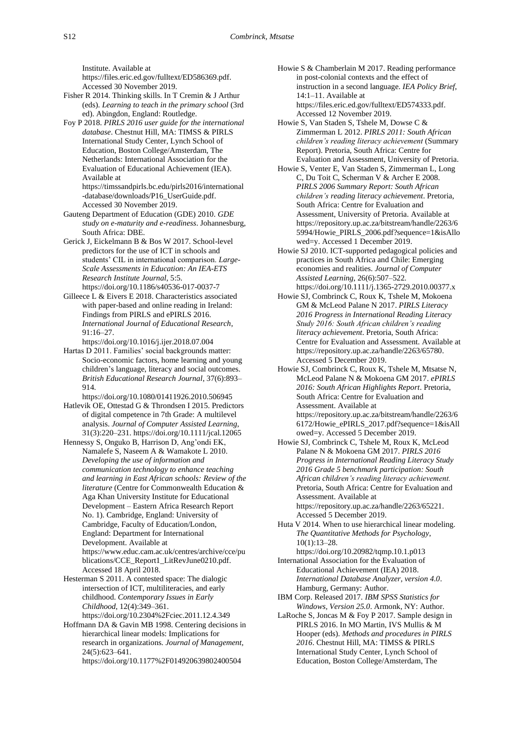Institute. Available at [https://files.eric.ed.gov/fulltext/ED586369.pdf.](https://files.eric.ed.gov/fulltext/ED586369.pdf)  Accessed 30 November 2019.

- Fisher R 2014. Thinking skills. In T Cremin & J Arthur (eds). *Learning to teach in the primary school* (3rd ed). Abingdon, England: Routledge.
- Foy P 2018. *PIRLS 2016 user guide for the international database*. Chestnut Hill, MA: TIMSS & PIRLS International Study Center, Lynch School of Education, Boston College/Amsterdam, The Netherlands: International Association for the Evaluation of Educational Achievement (IEA). Available at [https://timssandpirls.bc.edu/pirls2016/international](https://timssandpirls.bc.edu/pirls2016/international-database/downloads/P16_UserGuide.pdf)

[-database/downloads/P16\\_UserGuide.pdf.](https://timssandpirls.bc.edu/pirls2016/international-database/downloads/P16_UserGuide.pdf) Accessed 30 November 2019.

- Gauteng Department of Education (GDE) 2010. *GDE study on e-maturity and e-readiness*. Johannesburg, South Africa: DBE.
- Gerick J, Eickelmann B & Bos W 2017. School-level predictors for the use of ICT in schools and students' CIL in international comparison. *Large-Scale Assessments in Education: An IEA-ETS Research Institute Journal*, 5:5. <https://doi.org/10.1186/s40536-017-0037-7>
- Gilleece L & Eivers E 2018. Characteristics associated with paper-based and online reading in Ireland: Findings from PIRLS and ePIRLS 2016. *International Journal of Educational Research*, 91:16–27.

<https://doi.org/10.1016/j.ijer.2018.07.004>

- Hartas D 2011. Families' social backgrounds matter: Socio-economic factors, home learning and young children's language, literacy and social outcomes. *British Educational Research Journal*, 37(6):893– 914.
- <https://doi.org/10.1080/01411926.2010.506945> Hatlevik OE, Ottestad G & Throndsen I 2015. Predictors of digital competence in 7th Grade: A multilevel analysis. *Journal of Computer Assisted Learning*, 31(3):220–231. <https://doi.org/10.1111/jcal.12065>
- Hennessy S, Onguko B, Harrison D, Ang'ondi EK, Namalefe S, Naseem A & Wamakote L 2010. *Developing the use of information and communication technology to enhance teaching and learning in East African schools: Review of the literature* (Centre for Commonwealth Education & Aga Khan University Institute for Educational Development – Eastern Africa Research Report No. 1). Cambridge, England: University of Cambridge, Faculty of Education/London, England: Department for International Development. Available at [https://www.educ.cam.ac.uk/centres/archive/cce/pu](https://www.educ.cam.ac.uk/centres/archive/cce/publications/CCE_Report1_LitRevJune0210.pdf) [blications/CCE\\_Report1\\_LitRevJune0210.pdf.](https://www.educ.cam.ac.uk/centres/archive/cce/publications/CCE_Report1_LitRevJune0210.pdf) Accessed 18 April 2018.
- Hesterman S 2011. A contested space: The dialogic intersection of ICT, multiliteracies, and early childhood. *Contemporary Issues in Early Childhood*, 12(4):349–361. <https://doi.org/10.2304%2Fciec.2011.12.4.349>
- Hoffmann DA & Gavin MB 1998. Centering decisions in hierarchical linear models: Implications for research in organizations. *Journal of Management*, 24(5):623–641. <https://doi.org/10.1177%2F014920639802400504>
- Howie S & Chamberlain M 2017. Reading performance in post-colonial contexts and the effect of instruction in a second language. *IEA Policy Brief*, 14:1–11. Available at [https://files.eric.ed.gov/fulltext/ED574333.pdf.](https://files.eric.ed.gov/fulltext/ED574333.pdf) Accessed 12 November 2019.
- Howie S, Van Staden S, Tshele M, Dowse C & Zimmerman L 2012. *PIRLS 2011: South African children's reading literacy achievement* (Summary Report). Pretoria, South Africa: Centre for Evaluation and Assessment, University of Pretoria.
- Howie S, Venter E, Van Staden S, Zimmerman L, Long C, Du Toit C, Scherman V & Archer E 2008. *PIRLS 2006 Summary Report: South African children's reading literacy achievement*. Pretoria, South Africa: Centre for Evaluation and Assessment, University of Pretoria. Available at [https://repository.up.ac.za/bitstream/handle/2263/6](https://repository.up.ac.za/bitstream/handle/2263/65994/Howie_PIRLS_2006.pdf?sequence=1&isAllowed=y) [5994/Howie\\_PIRLS\\_2006.pdf?sequence=1&isAllo](https://repository.up.ac.za/bitstream/handle/2263/65994/Howie_PIRLS_2006.pdf?sequence=1&isAllowed=y) [wed=y.](https://repository.up.ac.za/bitstream/handle/2263/65994/Howie_PIRLS_2006.pdf?sequence=1&isAllowed=y) Accessed 1 December 2019.
- Howie SJ 2010. ICT-supported pedagogical policies and practices in South Africa and Chile: Emerging economies and realities. *Journal of Computer Assisted Learning*, 26(6):507–522. <https://doi.org/10.1111/j.1365-2729.2010.00377.x>
- Howie SJ, Combrinck C, Roux K, Tshele M, Mokoena GM & McLeod Palane N 2017. *PIRLS Literacy 2016 Progress in International Reading Literacy Study 2016: South African children's reading literacy achievement*. Pretoria, South Africa: Centre for Evaluation and Assessment. Available at [https://repository.up.ac.za/handle/2263/65780.](https://repository.up.ac.za/handle/2263/65780) Accessed 5 December 2019.
- Howie SJ, Combrinck C, Roux K, Tshele M, Mtsatse N, McLeod Palane N & Mokoena GM 2017. *ePIRLS 2016: South African Highlights Report*. Pretoria, South Africa: Centre for Evaluation and Assessment. Available at [https://repository.up.ac.za/bitstream/handle/2263/6](https://repository.up.ac.za/bitstream/handle/2263/66172/Howie_ePIRLS_2017.pdf?sequence=1&isAllowed=y) [6172/Howie\\_ePIRLS\\_2017.pdf?sequence=1&isAll](https://repository.up.ac.za/bitstream/handle/2263/66172/Howie_ePIRLS_2017.pdf?sequence=1&isAllowed=y) [owed=y.](https://repository.up.ac.za/bitstream/handle/2263/66172/Howie_ePIRLS_2017.pdf?sequence=1&isAllowed=y) Accessed 5 December 2019.
- Howie SJ, Combrinck C, Tshele M, Roux K, McLeod Palane N & Mokoena GM 2017. *PIRLS 2016 Progress in International Reading Literacy Study 2016 Grade 5 benchmark participation: South African children's reading literacy achievement.* Pretoria, South Africa: Centre for Evaluation and Assessment. Available at [https://repository.up.ac.za/handle/2263/65221.](https://repository.up.ac.za/handle/2263/65221) Accessed 5 December 2019.
- Huta V 2014. When to use hierarchical linear modeling. *The Quantitative Methods for Psychology*, 10(1):13–28.
- <https://doi.org/10.20982/tqmp.10.1.p013> International Association for the Evaluation of Educational Achievement (IEA) 2018. *International Database Analyzer, version 4.0*. Hamburg, Germany: Author.
- IBM Corp. Released 2017. *IBM SPSS Statistics for Windows, Version 25.0*. Armonk, NY: Author.
- LaRoche S, Joncas M & Foy P 2017. Sample design in PIRLS 2016. In MO Martin, IVS Mullis & M Hooper (eds). *Methods and procedures in PIRLS 2016*. Chestnut Hill, MA: TIMSS & PIRLS International Study Center, Lynch School of Education, Boston College/Amsterdam, The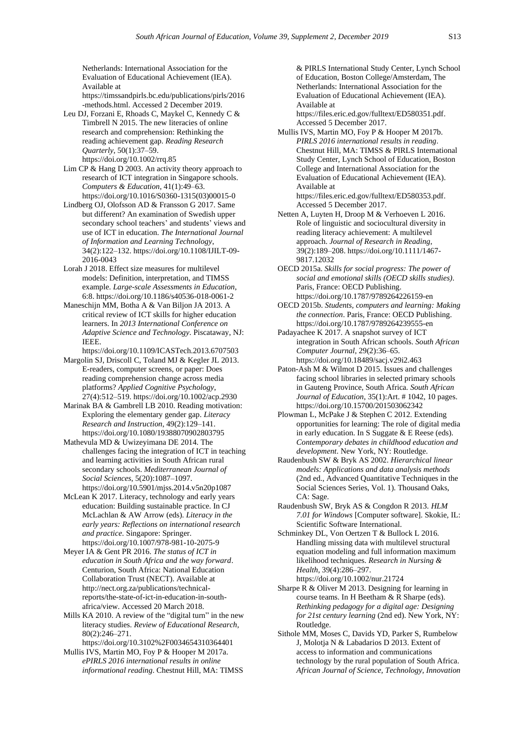Netherlands: International Association for the Evaluation of Educational Achievement (IEA). Available at [https://timssandpirls.bc.edu/publications/pirls/2016](https://timssandpirls.bc.edu/publications/pirls/2016-methods.html)

[-methods.html.](https://timssandpirls.bc.edu/publications/pirls/2016-methods.html) Accessed 2 December 2019. Leu DJ, Forzani E, Rhoads C, Maykel C, Kennedy C & Timbrell N 2015. The new literacies of online research and comprehension: Rethinking the reading achievement gap. *Reading Research Quarterly*, 50(1):37–59.

<https://doi.org/10.1002/rrq.85>

Lim CP & Hang D 2003. An activity theory approach to research of ICT integration in Singapore schools. *Computers & Education*, 41(1):49–63. [https://doi.org/10.1016/S0360-1315\(03\)00015-0](https://doi.org/10.1016/S0360-1315(03)00015-0)

Lindberg OJ, Olofsson AD & Fransson G 2017. Same but different? An examination of Swedish upper secondary school teachers' and students' views and use of ICT in education. *The International Journal of Information and Learning Technology*, 34(2):122–132. [https://doi.org/10.1108/IJILT-09-](https://doi.org/10.1108/IJILT-09-2016-0043) [2016-0043](https://doi.org/10.1108/IJILT-09-2016-0043)

Lorah J 2018. Effect size measures for multilevel models: Definition, interpretation, and TIMSS example. *Large-scale Assessments in Education*, 6:8. <https://doi.org/10.1186/s40536-018-0061-2>

Maneschijn MM, Botha A & Van Biljon JA 2013. A critical review of ICT skills for higher education learners. In *2013 International Conference on Adaptive Science and Technology*. Piscataway, NJ: IEEE.

<https://doi.org/10.1109/ICASTech.2013.6707503>

Margolin SJ, Driscoll C, Toland MJ & Kegler JL 2013. E-readers, computer screens, or paper: Does reading comprehension change across media platforms? *Applied Cognitive Psychology*, 27(4):512–519[. https://doi.org/10.1002/acp.2930](https://doi.org/10.1002/acp.2930)

Marinak BA & Gambrell LB 2010. Reading motivation: Exploring the elementary gender gap. *Literacy Research and Instruction*, 49(2):129–141. <https://doi.org/10.1080/19388070902803795>

Mathevula MD & Uwizeyimana DE 2014. The challenges facing the integration of ICT in teaching and learning activities in South African rural secondary schools. *Mediterranean Journal of Social Sciences*, 5(20):1087–1097. <https://doi.org/10.5901/mjss.2014.v5n20p1087>

McLean K 2017. Literacy, technology and early years education: Building sustainable practice. In CJ McLachlan & AW Arrow (eds). *Literacy in the early years: Reflections on international research and practice*. Singapore: Springer. <https://doi.org/10.1007/978-981-10-2075-9>

Meyer IA & Gent PR 2016. *The status of ICT in education in South Africa and the way forward*. Centurion, South Africa: National Education Collaboration Trust (NECT). Available at [http://nect.org.za/publications/technical](http://nect.org.za/publications/technical-reports/the-state-of-ict-in-education-in-south-africa/view)[reports/the-state-of-ict-in-education-in-south](http://nect.org.za/publications/technical-reports/the-state-of-ict-in-education-in-south-africa/view)[africa/view.](http://nect.org.za/publications/technical-reports/the-state-of-ict-in-education-in-south-africa/view) Accessed 20 March 2018.

Mills KA 2010. A review of the "digital turn" in the new literacy studies. *Review of Educational Research*, 80(2):246–271.

<https://doi.org/10.3102%2F0034654310364401> Mullis IVS, Martin MO, Foy P & Hooper M 2017a.

*ePIRLS 2016 international results in online informational reading*. Chestnut Hill, MA: TIMSS

& PIRLS International Study Center, Lynch School of Education, Boston College/Amsterdam, The Netherlands: International Association for the Evaluation of Educational Achievement (IEA). Available at

[https://files.eric.ed.gov/fulltext/ED580351.pdf.](https://files.eric.ed.gov/fulltext/ED580351.pdf) Accessed 5 December 2017.

Mullis IVS, Martin MO, Foy P & Hooper M 2017b. *PIRLS 2016 international results in reading*. Chestnut Hill, MA: TIMSS & PIRLS International Study Center, Lynch School of Education, Boston College and International Association for the Evaluation of Educational Achievement (IEA). Available at [https://files.eric.ed.gov/fulltext/ED580353.pdf.](https://files.eric.ed.gov/fulltext/ED580353.pdf)

Accessed 5 December 2017. Netten A, Luyten H, Droop M & Verhoeven L 2016. Role of linguistic and sociocultural diversity in reading literacy achievement: A multilevel approach. *Journal of Research in Reading*, 39(2):189–208. [https://doi.org/10.1111/1467-](https://doi.org/10.1111/1467-9817.12032) [9817.12032](https://doi.org/10.1111/1467-9817.12032)

OECD 2015a. *Skills for social progress: The power of social and emotional skills (OECD skills studies)*. Paris, France: OECD Publishing. <https://doi.org/10.1787/9789264226159-en>

OECD 2015b. *Students, computers and learning: Making the connection*. Paris, France: OECD Publishing. <https://doi.org/10.1787/9789264239555-en>

Padayachee K 2017. A snapshot survey of ICT integration in South African schools. *South African Computer Journal*, 29(2):36–65. <https://doi.org/10.18489/sacj.v29i2.463>

Paton-Ash M & Wilmot D 2015. Issues and challenges facing school libraries in selected primary schools in Gauteng Province, South Africa. *South African Journal of Education*, 35(1):Art. # 1042, 10 pages. <https://doi.org/10.15700/201503062342>

Plowman L, McPake J & Stephen C 2012. Extending opportunities for learning: The role of digital media in early education. In S Suggate & E Reese (eds). *Contemporary debates in childhood education and development*. New York, NY: Routledge.

Raudenbush SW & Bryk AS 2002. *Hierarchical linear models: Applications and data analysis methods* (2nd ed., Advanced Quantitative Techniques in the Social Sciences Series, Vol. 1). Thousand Oaks, CA: Sage.

Raudenbush SW, Bryk AS & Congdon R 2013. *HLM 7.01 for Windows* [Computer software]. Skokie, IL: Scientific Software International.

Schminkey DL, Von Oertzen T & Bullock L 2016. Handling missing data with multilevel structural equation modeling and full information maximum likelihood techniques. *Research in Nursing & Health*, 39(4):286–297. <https://doi.org/10.1002/nur.21724>

Sharpe R & Oliver M 2013. Designing for learning in course teams. In H Beetham & R Sharpe (eds). *Rethinking pedagogy for a digital age: Designing for 21st century learning* (2nd ed). New York, NY: Routledge.

Sithole MM, Moses C, Davids YD, Parker S, Rumbelow J, Molotja N & Labadarios D 2013. Extent of access to information and communications technology by the rural population of South Africa. *African Journal of Science, Technology, Innovation*